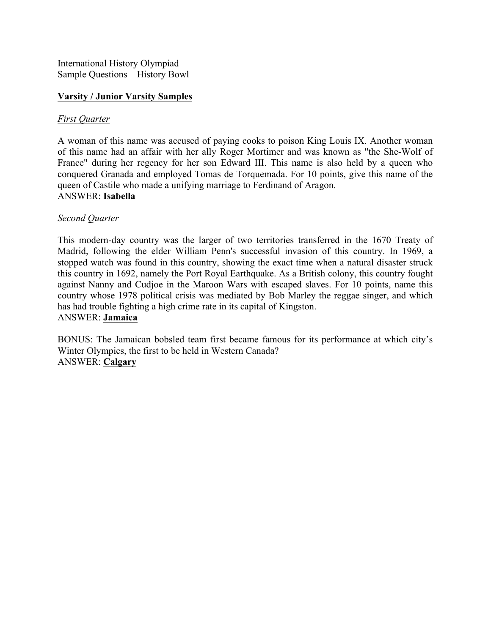International History Olympiad Sample Questions – History Bowl

#### **Varsity / Junior Varsity Samples**

#### *First Quarter*

A woman of this name was accused of paying cooks to poison King Louis IX. Another woman of this name had an affair with her ally Roger Mortimer and was known as "the She-Wolf of France" during her regency for her son Edward III. This name is also held by a queen who conquered Granada and employed Tomas de Torquemada. For 10 points, give this name of the queen of Castile who made a unifying marriage to Ferdinand of Aragon. ANSWER: **Isabella**

#### *Second Quarter*

This modern-day country was the larger of two territories transferred in the 1670 Treaty of Madrid, following the elder William Penn's successful invasion of this country. In 1969, a stopped watch was found in this country, showing the exact time when a natural disaster struck this country in 1692, namely the Port Royal Earthquake. As a British colony, this country fought against Nanny and Cudjoe in the Maroon Wars with escaped slaves. For 10 points, name this country whose 1978 political crisis was mediated by Bob Marley the reggae singer, and which has had trouble fighting a high crime rate in its capital of Kingston. ANSWER: **Jamaica**

BONUS: The Jamaican bobsled team first became famous for its performance at which city's Winter Olympics, the first to be held in Western Canada? ANSWER: **Calgary**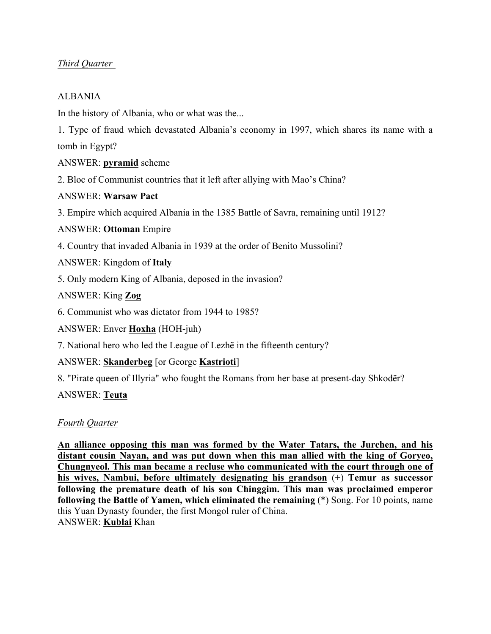# *Third Quarter*

## ALBANIA

In the history of Albania, who or what was the...

1. Type of fraud which devastated Albania's economy in 1997, which shares its name with a tomb in Egypt?

ANSWER: **pyramid** scheme

2. Bloc of Communist countries that it left after allying with Mao's China?

ANSWER: **Warsaw Pact**

3. Empire which acquired Albania in the 1385 Battle of Savra, remaining until 1912?

ANSWER: **Ottoman** Empire

4. Country that invaded Albania in 1939 at the order of Benito Mussolini?

ANSWER: Kingdom of **Italy**

5. Only modern King of Albania, deposed in the invasion?

ANSWER: King **Zog**

6. Communist who was dictator from 1944 to 1985?

ANSWER: Enver **Hoxha** (HOH-juh)

7. National hero who led the League of Lezhë in the fifteenth century?

ANSWER: **Skanderbeg** [or George **Kastrioti**]

8. "Pirate queen of Illyria" who fought the Romans from her base at present-day Shkodër?

ANSWER: **Teuta**

### *Fourth Quarter*

**An alliance opposing this man was formed by the Water Tatars, the Jurchen, and his distant cousin Nayan, and was put down when this man allied with the king of Goryeo, Chungnyeol. This man became a recluse who communicated with the court through one of his wives, Nambui, before ultimately designating his grandson** (+) **Temur as successor following the premature death of his son Chinggim. This man was proclaimed emperor following the Battle of Yamen, which eliminated the remaining** (\*) Song. For 10 points, name this Yuan Dynasty founder, the first Mongol ruler of China. ANSWER: **Kublai** Khan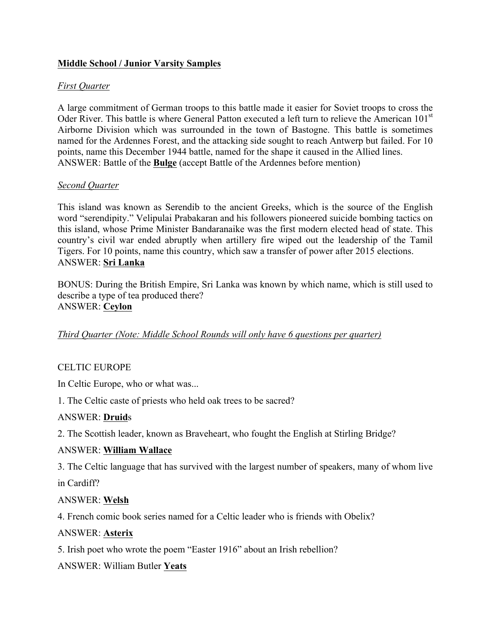## **Middle School / Junior Varsity Samples**

### *First Quarter*

A large commitment of German troops to this battle made it easier for Soviet troops to cross the Oder River. This battle is where General Patton executed a left turn to relieve the American 101<sup>st</sup> Airborne Division which was surrounded in the town of Bastogne. This battle is sometimes named for the Ardennes Forest, and the attacking side sought to reach Antwerp but failed. For 10 points, name this December 1944 battle, named for the shape it caused in the Allied lines. ANSWER: Battle of the **Bulge** (accept Battle of the Ardennes before mention)

#### *Second Quarter*

This island was known as Serendib to the ancient Greeks, which is the source of the English word "serendipity." Velipulai Prabakaran and his followers pioneered suicide bombing tactics on this island, whose Prime Minister Bandaranaike was the first modern elected head of state. This country's civil war ended abruptly when artillery fire wiped out the leadership of the Tamil Tigers. For 10 points, name this country, which saw a transfer of power after 2015 elections. ANSWER: **Sri Lanka**

BONUS: During the British Empire, Sri Lanka was known by which name, which is still used to describe a type of tea produced there? ANSWER: **Ceylon**

### *Third Quarter (Note: Middle School Rounds will only have 6 questions per quarter)*

### CELTIC EUROPE

In Celtic Europe, who or what was...

1. The Celtic caste of priests who held oak trees to be sacred?

#### ANSWER: **Druid**s

2. The Scottish leader, known as Braveheart, who fought the English at Stirling Bridge?

#### ANSWER: **William Wallace**

3. The Celtic language that has survived with the largest number of speakers, many of whom live

in Cardiff?

### ANSWER: **Welsh**

4. French comic book series named for a Celtic leader who is friends with Obelix?

#### ANSWER: **Asterix**

5. Irish poet who wrote the poem "Easter 1916" about an Irish rebellion?

ANSWER: William Butler **Yeats**